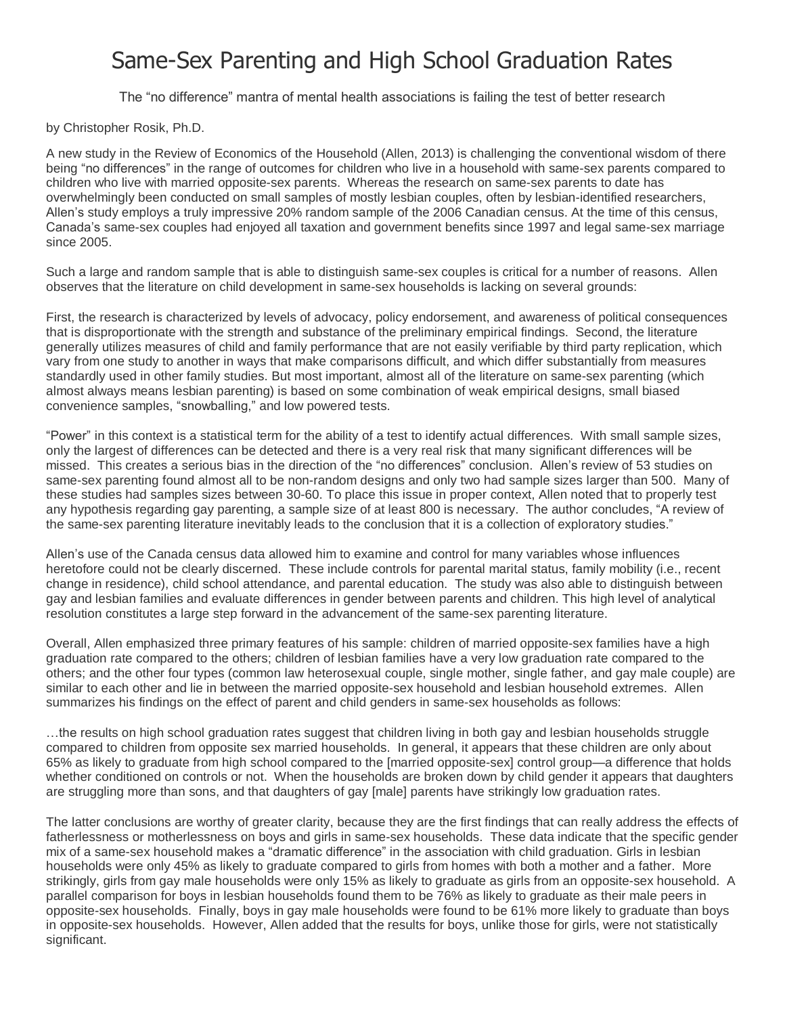## Same-Sex Parenting and High School Graduation Rates

The "no difference" mantra of mental health associations is failing the test of better research

by Christopher Rosik, Ph.D.

A new study in the Review of Economics of the Household (Allen, 2013) is challenging the conventional wisdom of there being "no differences" in the range of outcomes for children who live in a household with same-sex parents compared to children who live with married opposite-sex parents. Whereas the research on same-sex parents to date has overwhelmingly been conducted on small samples of mostly lesbian couples, often by lesbian-identified researchers, Allen's study employs a truly impressive 20% random sample of the 2006 Canadian census. At the time of this census, Canada's same-sex couples had enjoyed all taxation and government benefits since 1997 and legal same-sex marriage since 2005.

Such a large and random sample that is able to distinguish same-sex couples is critical for a number of reasons. Allen observes that the literature on child development in same-sex households is lacking on several grounds:

First, the research is characterized by levels of advocacy, policy endorsement, and awareness of political consequences that is disproportionate with the strength and substance of the preliminary empirical findings. Second, the literature generally utilizes measures of child and family performance that are not easily verifiable by third party replication, which vary from one study to another in ways that make comparisons difficult, and which differ substantially from measures standardly used in other family studies. But most important, almost all of the literature on same-sex parenting (which almost always means lesbian parenting) is based on some combination of weak empirical designs, small biased convenience samples, "snowballing," and low powered tests.

"Power" in this context is a statistical term for the ability of a test to identify actual differences. With small sample sizes, only the largest of differences can be detected and there is a very real risk that many significant differences will be missed. This creates a serious bias in the direction of the "no differences" conclusion. Allen's review of 53 studies on same-sex parenting found almost all to be non-random designs and only two had sample sizes larger than 500. Many of these studies had samples sizes between 30-60. To place this issue in proper context, Allen noted that to properly test any hypothesis regarding gay parenting, a sample size of at least 800 is necessary. The author concludes, "A review of the same-sex parenting literature inevitably leads to the conclusion that it is a collection of exploratory studies."

Allen's use of the Canada census data allowed him to examine and control for many variables whose influences heretofore could not be clearly discerned. These include controls for parental marital status, family mobility (i.e., recent change in residence), child school attendance, and parental education. The study was also able to distinguish between gay and lesbian families and evaluate differences in gender between parents and children. This high level of analytical resolution constitutes a large step forward in the advancement of the same-sex parenting literature.

Overall, Allen emphasized three primary features of his sample: children of married opposite-sex families have a high graduation rate compared to the others; children of lesbian families have a very low graduation rate compared to the others; and the other four types (common law heterosexual couple, single mother, single father, and gay male couple) are similar to each other and lie in between the married opposite-sex household and lesbian household extremes. Allen summarizes his findings on the effect of parent and child genders in same-sex households as follows:

…the results on high school graduation rates suggest that children living in both gay and lesbian households struggle compared to children from opposite sex married households. In general, it appears that these children are only about 65% as likely to graduate from high school compared to the [married opposite-sex] control group—a difference that holds whether conditioned on controls or not. When the households are broken down by child gender it appears that daughters are struggling more than sons, and that daughters of gay [male] parents have strikingly low graduation rates.

The latter conclusions are worthy of greater clarity, because they are the first findings that can really address the effects of fatherlessness or motherlessness on boys and girls in same-sex households. These data indicate that the specific gender mix of a same-sex household makes a "dramatic difference" in the association with child graduation. Girls in lesbian households were only 45% as likely to graduate compared to girls from homes with both a mother and a father. More strikingly, girls from gay male households were only 15% as likely to graduate as girls from an opposite-sex household. A parallel comparison for boys in lesbian households found them to be 76% as likely to graduate as their male peers in opposite-sex households. Finally, boys in gay male households were found to be 61% more likely to graduate than boys in opposite-sex households. However, Allen added that the results for boys, unlike those for girls, were not statistically significant.